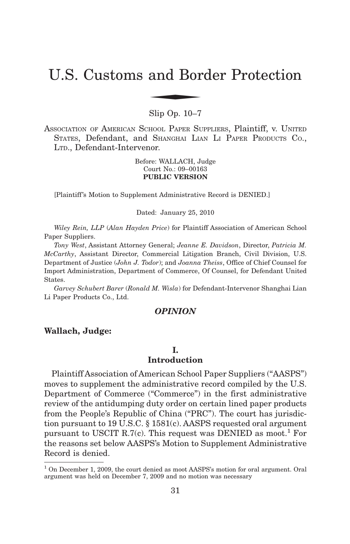# U.S. Customs and Border Protection and Bor

Slip Op. 10–7

ASSOCIATION OF AMERICAN SCHOOL PAPER SUPPLIERS, Plaintiff, v. UNITED STATES, Defendant, and SHANGHAI LIAN LI PAPER PRODUCTS CO., LTD., Defendant-Intervenor.

> Before: WALLACH, Judge Court No.: 09–00163 **PUBLIC VERSION**

[Plaintiff's Motion to Supplement Administrative Record is DENIED.]

Dated: January 25, 2010

*Wiley Rein, LLP* (*Alan Hayden Price*) for Plaintiff Association of American School Paper Suppliers.

*Tony West*, Assistant Attorney General; *Jeanne E. Davidson*, Director, *Patricia M. McCarthy*, Assistant Director, Commercial Litigation Branch, Civil Division, U.S. Department of Justice (*John J. Todor*); and *Joanna Theiss*, Office of Chief Counsel for Import Administration, Department of Commerce, Of Counsel, for Defendant United States.

*Garvey Schubert Barer* (*Ronald M. Wisla*) for Defendant-Intervenor Shanghai Lian Li Paper Products Co., Ltd.

# *OPINION*

#### **Wallach, Judge:**

#### **I. Introduction**

Plaintiff Association of American School Paper Suppliers ("AASPS") moves to supplement the administrative record compiled by the U.S. Department of Commerce ("Commerce") in the first administrative review of the antidumping duty order on certain lined paper products from the People's Republic of China ("PRC"). The court has jurisdiction pursuant to 19 U.S.C. § 1581(c). AASPS requested oral argument pursuant to USCIT R.7(c). This request was DENIED as moot.<sup>1</sup> For the reasons set below AASPS's Motion to Supplement Administrative Record is denied.

<sup>&</sup>lt;sup>1</sup> On December 1, 2009, the court denied as moot AASPS's motion for oral argument. Oral argument was held on December 7, 2009 and no motion was necessary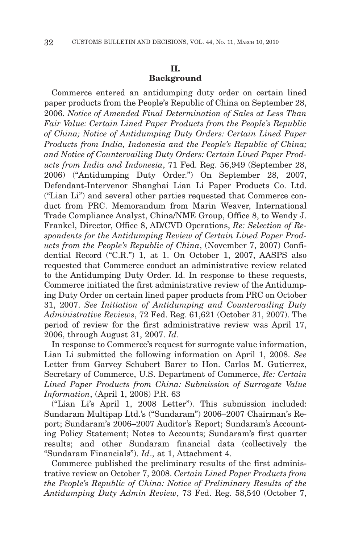# **II.**

# **Background**

Commerce entered an antidumping duty order on certain lined paper products from the People's Republic of China on September 28, 2006. *Notice of Amended Final Determination of Sales at Less Than Fair Value: Certain Lined Paper Products from the People's Republic of China; Notice of Antidumping Duty Orders: Certain Lined Paper Products from India, Indonesia and the People's Republic of China; and Notice of Countervailing Duty Orders: Certain Lined Paper Products from India and Indonesia*, 71 Fed. Reg. 56,949 (September 28, 2006) ("Antidumping Duty Order.") On September 28, 2007, Defendant-Intervenor Shanghai Lian Li Paper Products Co. Ltd. ("Lian Li") and several other parties requested that Commerce conduct from PRC. Memorandum from Marin Weaver, International Trade Compliance Analyst, China/NME Group, Office 8, to Wendy J. Frankel, Director, Office 8, AD/CVD Operations, *Re: Selection of Respondents for the Antidumping Review of Certain Lined Paper Products from the People's Republic of China*, (November 7, 2007) Confidential Record ("C.R.") 1, at 1. On October 1, 2007, AASPS also requested that Commerce conduct an administrative review related to the Antidumping Duty Order. Id. In response to these requests, Commerce initiated the first administrative review of the Antidumping Duty Order on certain lined paper products from PRC on October 31, 2007. *See Initiation of Antidumping and Countervailing Duty Administrative Reviews*, 72 Fed. Reg. 61,621 (October 31, 2007). The period of review for the first administrative review was April 17, 2006, through August 31, 2007. *Id*.

In response to Commerce's request for surrogate value information, Lian Li submitted the following information on April 1, 2008. *See* Letter from Garvey Schubert Barer to Hon. Carlos M. Gutierrez, Secretary of Commerce, U.S. Department of Commerce, *Re: Certain Lined Paper Products from China: Submission of Surrogate Value Information*, (April 1, 2008) P.R. 63

("Lian Li's April 1, 2008 Letter"). This submission included: Sundaram Multipap Ltd.'s ("Sundaram") 2006–2007 Chairman's Report; Sundaram's 2006–2007 Auditor's Report; Sundaram's Accounting Policy Statement; Notes to Accounts; Sundaram's first quarter results; and other Sundaram financial data (collectively the "Sundaram Financials"). *Id*., at 1, Attachment 4.

Commerce published the preliminary results of the first administrative review on October 7, 2008. *Certain Lined Paper Products from the People's Republic of China: Notice of Preliminary Results of the Antidumping Duty Admin Review*, 73 Fed. Reg. 58,540 (October 7,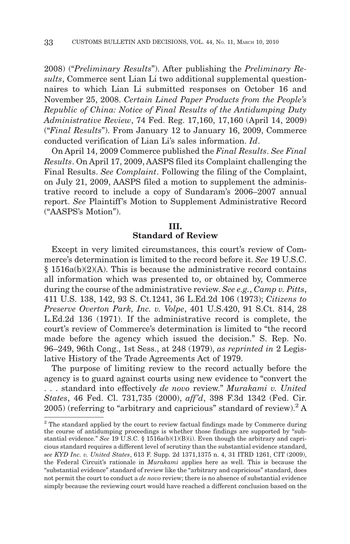2008) ("*Preliminary Results*"). After publishing the *Preliminary Results*, Commerce sent Lian Li two additional supplemental questionnaires to which Lian Li submitted responses on October 16 and November 25, 2008. *Certain Lined Paper Products from the People's Republic of China: Notice of Final Results of the Antidumping Duty Administrative Review*, 74 Fed. Reg. 17,160, 17,160 (April 14, 2009) ("*Final Results*"). From January 12 to January 16, 2009, Commerce conducted verification of Lian Li's sales information. *Id*.

On April 14, 2009 Commerce published the *Final Results*. *See Final Results*. On April 17, 2009, AASPS filed its Complaint challenging the Final Results. *See Complaint*. Following the filing of the Complaint, on July 21, 2009, AASPS filed a motion to supplement the administrative record to include a copy of Sundaram's 2006–2007 annual report. *See* Plaintiff 's Motion to Supplement Administrative Record ("AASPS's Motion").

# **III. Standard of Review**

Except in very limited circumstances, this court's review of Commerce's determination is limited to the record before it. *See* 19 U.S.C. § 1516a(b)(2)(A). This is because the administrative record contains all information which was presented to, or obtained by, Commerce during the course of the administrative review. *See e.g.*, *Camp v. Pitts*, 411 U.S. 138, 142, 93 S. Ct.1241, 36 L.Ed.2d 106 (1973); *Citizens to Preserve Overton Park, Inc. v. Volpe*, 401 U.S.420, 91 S.Ct. 814, 28 L.Ed.2d 136 (1971). If the administrative record is complete, the court's review of Commerce's determination is limited to "the record made before the agency which issued the decision." S. Rep. No. 96–249, 96th Cong., 1st Sess., at 248 (1979), *as reprinted in* 2 Legislative History of the Trade Agreements Act of 1979.

The purpose of limiting review to the record actually before the agency is to guard against courts using new evidence to "convert the . . . standard into effectively *de novo* review." *Murakami v. United States*, 46 Fed. Cl. 731,735 (2000), *aff'd*, 398 F.3d 1342 (Fed. Cir.  $2005$ ) (referring to "arbitrary and capricious" standard of review).<sup>2</sup> A

<sup>&</sup>lt;sup>2</sup> The standard applied by the court to review factual findings made by Commerce during the course of antidumping proceedings is whether those findings are supported by "substantial evidence." *See* 19 U.S.C. § 1516a(b)(1)(B)(i). Even though the arbitrary and capricious standard requires a different level of scrutiny than the substantial evidence standard, *see KYD Inc. v. United States*, 613 F. Supp. 2d 1371,1375 n. 4, 31 ITRD 1261, CIT (2009), the Federal Circuit's rationale in *Murakami* applies here as well. This is because the "substantial evidence" standard of review like the "arbitrary and capricious" standard, does not permit the court to conduct a *de novo* review; there is no absence of substantial evidence simply because the reviewing court would have reached a different conclusion based on the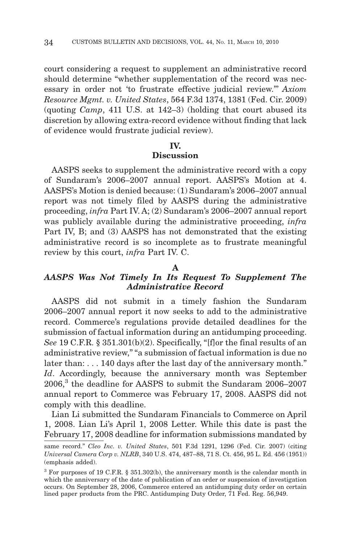court considering a request to supplement an administrative record should determine "whether supplementation of the record was necessary in order not 'to frustrate effective judicial review."' *Axiom Resource Mgmt. v. United States*, 564 F.3d 1374, 1381 (Fed. Cir. 2009) (quoting *Camp*, 411 U.S. at 142–3) (holding that court abused its discretion by allowing extra-record evidence without finding that lack of evidence would frustrate judicial review).

#### **IV.**

# **Discussion**

AASPS seeks to supplement the administrative record with a copy of Sundaram's 2006–2007 annual report. AASPS's Motion at 4. AASPS's Motion is denied because: (1) Sundaram's 2006–2007 annual report was not timely filed by AASPS during the administrative proceeding, *infra* Part IV. A; (2) Sundaram's 2006–2007 annual report was publicly available during the administrative proceeding, *infra* Part IV, B; and (3) AASPS has not demonstrated that the existing administrative record is so incomplete as to frustrate meaningful review by this court, *infra* Part IV. C.

#### **A**

# *AASPS Was Not Timely In Its Request To Supplement The Administrative Record*

AASPS did not submit in a timely fashion the Sundaram 2006–2007 annual report it now seeks to add to the administrative record. Commerce's regulations provide detailed deadlines for the submission of factual information during an antidumping proceeding. *See* 19 C.F.R. § 351.301(b)(2). Specifically, "[f]or the final results of an administrative review," "a submission of factual information is due no later than: . . . 140 days after the last day of the anniversary month." *Id*. Accordingly, because the anniversary month was September 2006,<sup>3</sup> the deadline for AASPS to submit the Sundaram 2006–2007 annual report to Commerce was February 17, 2008. AASPS did not comply with this deadline.

Lian Li submitted the Sundaram Financials to Commerce on April 1, 2008. Lian Li's April 1, 2008 Letter. While this date is past the February 17, 2008 deadline for information submissions mandated by

same record." *Cleo Inc. v. United States*, 501 F.3d 1291, 1296 (Fed. Cir. 2007) (citing *Universal Camera Corp v. NLRB*, 340 U.S. 474, 487–88, 71 S. Ct. 456, 95 L. Ed. 456 (1951)) (emphasis added).

<sup>&</sup>lt;sup>3</sup> For purposes of 19 C.F.R. § 351.302(b), the anniversary month is the calendar month in which the anniversary of the date of publication of an order or suspension of investigation occurs. On September 28, 2006, Commerce entered an antidumping duty order on certain lined paper products from the PRC. Antidumping Duty Order, 71 Fed. Reg. 56,949.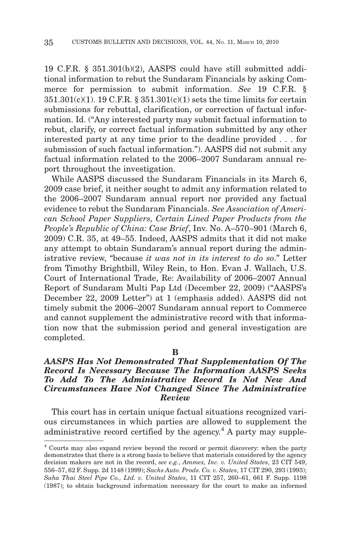19 C.F.R. § 351.301(b)(2), AASPS could have still submitted additional information to rebut the Sundaram Financials by asking Commerce for permission to submit information. *See* 19 C.F.R. § 351.301(c)(1). 19 C.F.R. § 351.301(c)(1) sets the time limits for certain submissions for rebuttal, clarification, or correction of factual information. Id. ("Any interested party may submit factual information to rebut, clarify, or correct factual information submitted by any other interested party at any time prior to the deadline provided . . . for submission of such factual information."). AASPS did not submit any factual information related to the 2006–2007 Sundaram annual report throughout the investigation.

While AASPS discussed the Sundaram Financials in its March 6, 2009 case brief, it neither sought to admit any information related to the 2006–2007 Sundaram annual report nor provided any factual evidence to rebut the Sundaram Financials. *See Association of American School Paper Suppliers, Certain Lined Paper Products from the People's Republic of China: Case Brief*, Inv. No. A–570–901 (March 6, 2009) C.R. 35, at 49–55. Indeed, AASPS admits that it did not make any attempt to obtain Sundaram's annual report during the administrative review, "because *it was not in its interest to do so*." Letter from Timothy Brightbill, Wiley Rein, to Hon. Evan J. Wallach, U.S. Court of International Trade, Re: Availability of 2006–2007 Annual Report of Sundaram Multi Pap Ltd (December 22, 2009) ("AASPS's December 22, 2009 Letter") at 1 (emphasis added). AASPS did not timely submit the 2006–2007 Sundaram annual report to Commerce and cannot supplement the administrative record with that information now that the submission period and general investigation are completed.

#### **B**

# *AASPS Has Not Demonstrated That Supplementation Of The Record Is Necessary Because The Information AASPS Seeks To Add To The Administrative Record Is Not New And Circumstances Have Not Changed Since The Administrative Review*

This court has in certain unique factual situations recognized various circumstances in which parties are allowed to supplement the administrative record certified by the agency.<sup>4</sup> A party may supple-

<sup>4</sup> Courts may also expand review beyond the record or permit discovery: when the party demonstrates that there is a strong basis to believe that materials considered by the agency decision makers are not in the record, *see e.g.*, *Ammex, Inc. v. United States*, 23 CIT 549, 556–57, 62 F. Supp. 2d 1148 (1999); *Sachs Auto. Prods. Co. v. States*, 17 CIT 290, 293 (1993); *Saha Thai Steel Pipe Co., Ltd. v. United States*, 11 CIT 257, 260–61, 661 F. Supp. 1198 (1987); to obtain background information necessary for the court to make an informed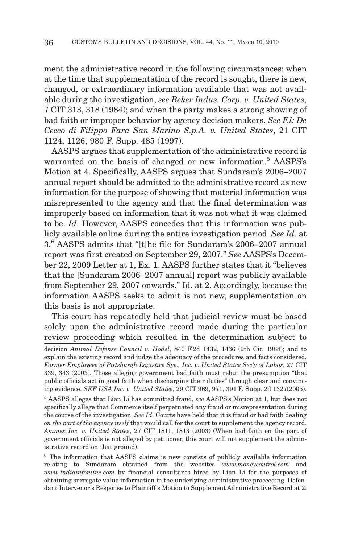ment the administrative record in the following circumstances: when at the time that supplementation of the record is sought, there is new, changed, or extraordinary information available that was not available during the investigation, *see Beker Indus. Corp. v. United States*, 7 CIT 313, 318 (1984); and when the party makes a strong showing of bad faith or improper behavior by agency decision makers. *See F.l: De Cecco di Filippo Fara San Marino S.p.A. v. United States*, 21 CIT 1124, 1126, 980 F. Supp. 485 (1997).

AASPS argues that supplementation of the administrative record is warranted on the basis of changed or new information.<sup>5</sup> AASPS's Motion at 4. Specifically, AASPS argues that Sundaram's 2006–2007 annual report should be admitted to the administrative record as new information for the purpose of showing that material information was misrepresented to the agency and that the final determination was improperly based on information that it was not what it was claimed to be. *Id*. However, AASPS concedes that this information was publicly available online during the entire investigation period. *See Id*. at 3.<sup>6</sup> AASPS admits that "[t]he file for Sundaram's 2006–2007 annual report was first created on September 29, 2007." *See* AASPS's December 22, 2009 Letter at 1, Ex. 1. AASPS further states that it "believes that the [Sundaram 2006–2007 annual] report was publicly available from September 29, 2007 onwards." Id. at 2. Accordingly, because the information AASPS seeks to admit is not new, supplementation on this basis is not appropriate.

This court has repeatedly held that judicial review must be based solely upon the administrative record made during the particular review proceeding which resulted in the determination subject to

decision *Animal Defense Council v. Hodel*, 840 F.2d 1432, 1436 (9th Cir. 1988); and to explain the existing record and judge the adequacy of the procedures and facts considered, *Former Employees of Pittsburgh Logistics Sys., Inc. v. United States Sec'y of Labor*, 27 CIT 339, 343 (2003). Those alleging government bad faith must rebut the presumption "that public officials act in good faith when discharging their duties" through clear and convincing evidence. *SKF USA Inc. v. United States*, 29 CIT 969, 971, 391 F. Supp. 2d 1327(2005).

<sup>5</sup> AASPS alleges that Lian Li has committed fraud, *see* AASPS's Motion at 1, but does not specifically allege that Commerce itself perpetuated any fraud or misrepresentation during the course of the investigation. *See Id*. Courts have held that it is fraud or bad faith dealing *on the part of the agency itself* that would call for the court to supplement the agency record. *Ammex Inc. v. United States*, 27 CIT 1811, 1813 (2003) (When bad faith on the part of government officials is not alleged by petitioner, this court will not supplement the administrative record on that ground).

<sup>6</sup> The information that AASPS claims is new consists of publicly available information relating to Sundaram obtained from the websites *www.moneycontrol.com* and *www.indiainfonline.com* by financial consultants hired by Lian Li for the purposes of obtaining surrogate value information in the underlying administrative proceeding. Defendant Intervenor's Response to Plaintiff's Motion to Supplement Administrative Record at 2.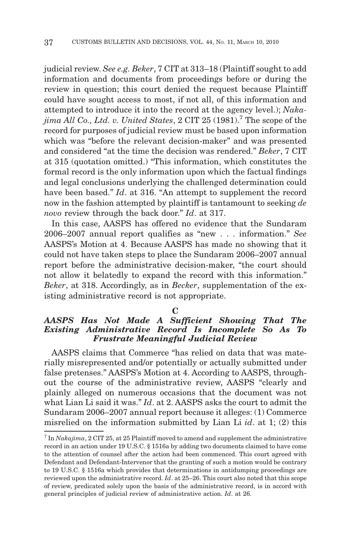judicial review. *See e.g. Beker*, 7 CIT at 313–18 (Plaintiff sought to add information and documents from proceedings before or during the review in question; this court denied the request because Plaintiff could have sought access to most, if not all, of this information and attempted to introduce it into the record at the agency level.); *Nakajima All Co., Ltd. v. United States*, 2 CIT 25 (1981).7 The scope of the record for purposes of judicial review must be based upon information which was "before the relevant decision-maker" and was presented and considered "at the time the decision was rendered." *Beker*, 7 CIT at 315 (quotation omitted.) "This information, which constitutes the formal record is the only information upon which the factual findings and legal conclusions underlying the challenged determination could have been based." *Id*. at 316. "An attempt to supplement the record now in the fashion attempted by plaintiff is tantamount to seeking *de novo* review through the back door." *Id*. at 317.

In this case, AASPS has offered no evidence that the Sundaram 2006–2007 annual report qualifies as "new . . . information." *See* AASPS's Motion at 4. Because AASPS has made no showing that it could not have taken steps to place the Sundaram 2006–2007 annual report before the administrative decision-maker, "the court should not allow it belatedly to expand the record with this information." *Beker*, at 318. Accordingly, as in *Becker*, supplementation of the existing administrative record is not appropriate.

#### **C**

## *AASPS Has Not Made A Sufficient Showing That The Existing Administrative Record Is Incomplete So As To Frustrate Meaningful Judicial Review*

AASPS claims that Commerce "has relied on data that was materially misrepresented and/or potentially or actually submitted under false pretenses." AASPS's Motion at 4. According to AASPS, throughout the course of the administrative review, AASPS "clearly and plainly alleged on numerous occasions that the document was not what Lian Li said it was." *Id*. at 2. AASPS asks the court to admit the Sundaram 2006–2007 annual report because it alleges: (1) Commerce misrelied on the information submitted by Lian Li *id*. at 1; (2) this

<sup>7</sup> In *Nakajima*, 2 CIT 25, at 25 Plaintiff moved to amend and supplement the administrative record in an action under 19 U.S.C. § 1516a by adding two documents claimed to have come to the attention of counsel after the action had been commenced. This court agreed with Defendant and Defendant-Intervenor that the granting of such a motion would be contrary to 19 U.S.C. § 1516a which provides that determinations in antidumping proceedings are reviewed upon the administrative record. *Id*. at 25–26. This court also noted that this scope of review, predicated solely upon the basis of the administrative record, is in accord with general principles of judicial review of administrative action. *Id*. at 26.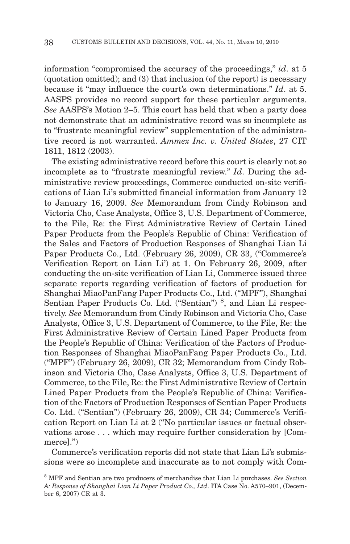information "compromised the accuracy of the proceedings," *id*. at 5 (quotation omitted); and (3) that inclusion (of the report) is necessary because it "may influence the court's own determinations." *Id*. at 5. AASPS provides no record support for these particular arguments. *See* AASPS's Motion 2–5. This court has held that when a party does not demonstrate that an administrative record was so incomplete as to "frustrate meaningful review" supplementation of the administrative record is not warranted. *Ammex Inc. v. United States*, 27 CIT 1811, 1812 (2003).

The existing administrative record before this court is clearly not so incomplete as to "frustrate meaningful review." *Id*. During the administrative review proceedings, Commerce conducted on-site verifications of Lian Li's submitted financial information from January 12 to January 16, 2009. *See* Memorandum from Cindy Robinson and Victoria Cho, Case Analysts, Office 3, U.S. Department of Commerce, to the File, Re: the First Administrative Review of Certain Lined Paper Products from the People's Republic of China: Verification of the Sales and Factors of Production Responses of Shanghai Lian Li Paper Products Co., Ltd. (February 26, 2009), CR 33, ("Commerce's Verification Report on Lian Li') at 1. On February 26, 2009, after conducting the on-site verification of Lian Li, Commerce issued three separate reports regarding verification of factors of production for Shanghai MiaoPanFang Paper Products Co., Ltd. ("MPF"), Shanghai Sentian Paper Products Co. Ltd. ("Sentian")<sup>8</sup>, and Lian Li respectively. *See* Memorandum from Cindy Robinson and Victoria Cho, Case Analysts, Office 3, U.S. Department of Commerce, to the File, Re: the First Administrative Review of Certain Lined Paper Products from the People's Republic of China: Verification of the Factors of Production Responses of Shanghai MiaoPanFang Paper Products Co., Ltd. ("MPF") (February 26, 2009), CR 32; Memorandum from Cindy Robinson and Victoria Cho, Case Analysts, Office 3, U.S. Department of Commerce, to the File, Re: the First Administrative Review of Certain Lined Paper Products from the People's Republic of China: Verification of the Factors of Production Responses of Sentian Paper Products Co. Ltd. ("Sentian") (February 26, 2009), CR 34; Commerce's Verification Report on Lian Li at 2 ("No particular issues or factual observations arose . . . which may require further consideration by [Commerce].")

Commerce's verification reports did not state that Lian Li's submissions were so incomplete and inaccurate as to not comply with Com-

<sup>8</sup> MPF and Sentian are two producers of merchandise that Lian Li purchases. *See Section A: Response of Shanghai Lian Li Paper Product Co., Ltd*. ITA Case No. A570–901, (December 6, 2007) CR at 3.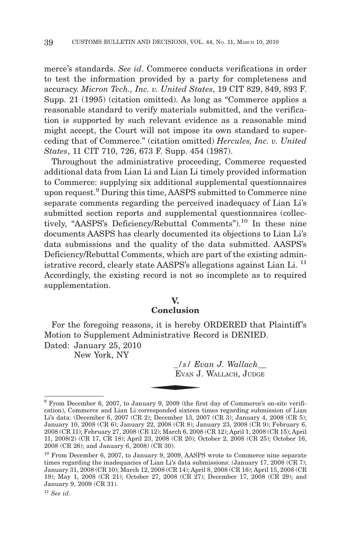merce's standards. *See id*. Commerce conducts verifications in order to test the information provided by a party for completeness and accuracy. *Micron Tech., Inc. v. United States*, 19 CIT 829, 849, 893 F. Supp. 21 (1995) (citation omitted). As long as "Commerce applies a reasonable standard to verify materials submitted, and the verification is supported by such relevant evidence as a reasonable mind might accept, the Court will not impose its own standard to superceding that of Commerce." (citation omitted) *Hercules, Inc. v. United States*, 11 CIT 710, 726, 673 F. Supp. 454 (1987).

Throughout the administrative proceeding, Commerce requested additional data from Lian Li and Lian Li timely provided information to Commerce: supplying six additional supplemental questionnaires upon request.9 During this time, AASPS submitted to Commerce nine separate comments regarding the perceived inadequacy of Lian Li's submitted section reports and supplemental questionnaires (collectively, "AASPS's Deficiency/Rebuttal Comments").<sup>10</sup> In these nine documents AASPS has clearly documented its objections to Lian Li's data submissions and the quality of the data submitted. AASPS's Deficiency/Rebuttal Comments, which are part of the existing administrative record, clearly state AASPS's allegations against Lian Li.<sup>11</sup> Accordingly, the existing record is not so incomplete as to required supplementation.

#### **V.**

# **Conclusion**

For the foregoing reasons, it is hereby ORDERED that Plaintiff's Motion to Supplement Administrative Record is DENIED.<br>
Dated: January 25, 2010<br>
New York, NY<br>  $\begin{array}{r} \begin{array}{r} \n/s / \operatorname{Evan} J. \operatorname{Wallach\_} \\ \n\hline \end{array} \\ \n\hline \end{array}$ Dated: January 25, 2010

New York, NY

*\_/s/ Evan J. Wallach\_\_* EVAN J. WALLACH, JUDGE

<sup>9</sup> From December 6, 2007, to January 9, 2009 (the first day of Commerce's on-site verification), Commerce and Lian Li corresponded sixteen times regarding submission of Lian Li's data: (December 6, 2007 (CR 2); December 13, 2007 (CR 3); January 4, 2008 (CR 5); January 10, 2008 (CR 6); January 22, 2008 (CR 8); January 23, 2008 (CR 9); February 6, 2008 (CR 11); February 27, 2008 (CR 12); March 6, 2008 (CR 12); April 1, 2008 (CR 15); April 11, 2008(2) (CR 17, CR 18); April 23, 2008 (CR 20); October 2, 2008 (CR 25); October 16, 2008 (CR 26); and January 6, 2008) (CR 30).

<sup>&</sup>lt;sup>10</sup> From December 6, 2007, to January 9, 2009, AASPS wrote to Commerce nine separate times regarding the inadequacies of Lian Li's data submissions: (January 17, 2008 (CR 7); January 31, 2008 (CR 10); March 12, 2008 (CR 14); April 8, 2008 (CR 16); April 15, 2008 (CR 19); May 1, 2008 (CR 21); October 27, 2008 (CR 27); December 17, 2008 (CR 29); and January 9, 2009 (CR 31).

<sup>11</sup> *See id*.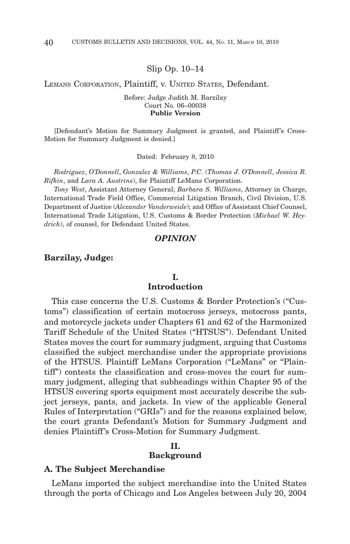Slip Op. 10–14

LEMANS CORPORATION, Plaintiff, v. UNITED STATES, Defendant.

Before: Judge Judith M. Barzilay Court No. 06–00038 **Public Version**

[Defendant's Motion for Summary Judgment is granted, and Plaintiff 's Cross-Motion for Summary Judgment is denied.]

Dated: February 8, 2010

*Rodriguez*, *O'Donnell*, *Gonzalez & Williams*, *P.C*. (*Thomas J. O'Donnell*, *Jessica R. Rifkin*, and *Lara A. Austrins*), for Plaintiff LeMans Corporation.

*Tony West*, Assistant Attorney General; *Barbara S. Williams*, Attorney in Charge, International Trade Field Office, Commercial Litigation Branch, Civil Division, U.S. Department of Justice (*Alexander Vanderweide*); and Office of Assistant Chief Counsel, International Trade Litigation, U.S. Customs & Border Protection (*Michael W. Heydrich*), of counsel, for Defendant United States.

#### *OPINION*

#### **Barzilay, Judge:**

# **I. Introduction**

This case concerns the U.S. Customs & Border Protection's ("Customs") classification of certain motocross jerseys, motocross pants, and motorcycle jackets under Chapters 61 and 62 of the Harmonized Tariff Schedule of the United States ("HTSUS"). Defendant United States moves the court for summary judgment, arguing that Customs classified the subject merchandise under the appropriate provisions of the HTSUS. Plaintiff LeMans Corporation ("LeMans" or "Plaintiff") contests the classification and cross-moves the court for summary judgment, alleging that subheadings within Chapter 95 of the HTSUS covering sports equipment most accurately describe the subject jerseys, pants, and jackets. In view of the applicable General Rules of Interpretation ("GRIs") and for the reasons explained below, the court grants Defendant's Motion for Summary Judgment and denies Plaintiff 's Cross-Motion for Summary Judgment.

# **II. Background**

#### **A. The Subject Merchandise**

LeMans imported the subject merchandise into the United States through the ports of Chicago and Los Angeles between July 20, 2004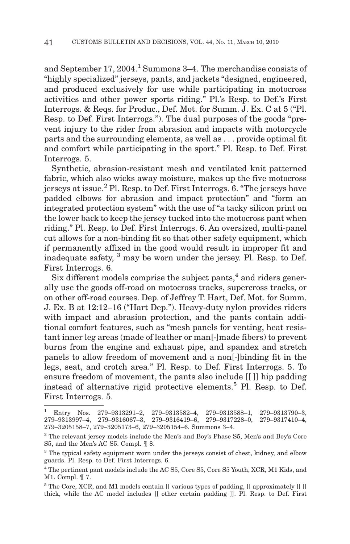and September 17, 2004.<sup>1</sup> Summons 3–4. The merchandise consists of "highly specialized" jerseys, pants, and jackets "designed, engineered, and produced exclusively for use while participating in motocross activities and other power sports riding." Pl.'s Resp. to Def.'s First Interrogs. & Reqs. for Produc., Def. Mot. for Summ. J. Ex. C at 5 ("Pl. Resp. to Def. First Interrogs."). The dual purposes of the goods "prevent injury to the rider from abrasion and impacts with motorcycle parts and the surrounding elements, as well as... provide optimal fit and comfort while participating in the sport." Pl. Resp. to Def. First Interrogs. 5.

Synthetic, abrasion-resistant mesh and ventilated knit patterned fabric, which also wicks away moisture, makes up the five motocross jerseys at issue.<sup>2</sup> Pl. Resp. to Def. First Interrogs. 6. "The jerseys have padded elbows for abrasion and impact protection" and "form an integrated protection system" with the use of "a tacky silicon print on the lower back to keep the jersey tucked into the motocross pant when riding." Pl. Resp. to Def. First Interrogs. 6. An oversized, multi-panel cut allows for a non-binding fit so that other safety equipment, which if permanently affixed in the good would result in improper fit and inadequate safety, <sup>3</sup> may be worn under the jersey. Pl. Resp. to Def. First Interrogs. 6.

Six different models comprise the subject pants, $4$  and riders generally use the goods off-road on motocross tracks, supercross tracks, or on other off-road courses. Dep. of Jeffrey T. Hart, Def. Mot. for Summ. J. Ex. B at 12:12–16 ("Hart Dep."). Heavy-duty nylon provides riders with impact and abrasion protection, and the pants contain additional comfort features, such as "mesh panels for venting, heat resistant inner leg areas (made of leather or man[-]made fibers) to prevent burns from the engine and exhaust pipe, and spandex and stretch panels to allow freedom of movement and a non[-]binding fit in the legs, seat, and crotch area." Pl. Resp. to Def. First Interrogs. 5. To ensure freedom of movement, the pants also include [[ ]] hip padding instead of alternative rigid protective elements.<sup>5</sup> Pl. Resp. to Def. First Interrogs. 5.

<sup>1</sup> Entry Nos. 279–9313291–2, 279–9313582–4, 279–9313588–1, 279–9313790–3, 279–9313997–4, 279–9316067–3, 279–9316419–6, 279–9317228–0, 279–9317410–4, 279–3205158–7, 279–3205173–6, 279–3205154–6. Summons 3–4.

 $2$  The relevant jersey models include the Men's and Boy's Phase S5, Men's and Boy's Core S5, and the Men's AC S5. Compl. ¶ 8.

<sup>&</sup>lt;sup>3</sup> The typical safety equipment worn under the jerseys consist of chest, kidney, and elbow guards. Pl. Resp. to Def. First Interrogs. 6.

<sup>4</sup> The pertinent pant models include the AC S5, Core S5, Core S5 Youth, XCR, M1 Kids, and M1. Compl. ¶ 7.

<sup>5</sup> The Core, XCR, and M1 models contain [[ various types of padding, ]] approximately [[ ]] thick, while the AC model includes [[ other certain padding ]]. Pl. Resp. to Def. First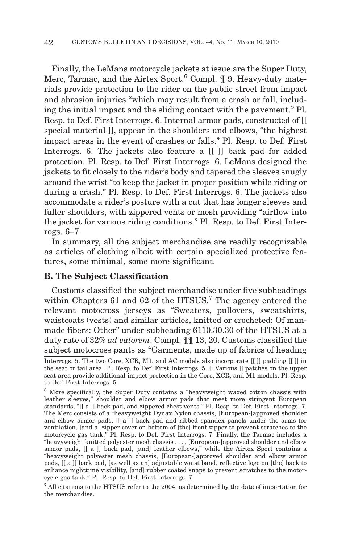Finally, the LeMans motorcycle jackets at issue are the Super Duty, Merc, Tarmac, and the Airtex Sport.<sup>6</sup> Compl.  $\P$  9. Heavy-duty materials provide protection to the rider on the public street from impact and abrasion injuries "which may result from a crash or fall, including the initial impact and the sliding contact with the pavement." Pl. Resp. to Def. First Interrogs. 6. Internal armor pads, constructed of [[ special material ]], appear in the shoulders and elbows, "the highest impact areas in the event of crashes or falls." Pl. Resp. to Def. First Interrogs. 6. The jackets also feature a [[ ]] back pad for added protection. Pl. Resp. to Def. First Interrogs. 6. LeMans designed the jackets to fit closely to the rider's body and tapered the sleeves snugly around the wrist "to keep the jacket in proper position while riding or during a crash." Pl. Resp. to Def. First Interrogs. 6. The jackets also accommodate a rider's posture with a cut that has longer sleeves and fuller shoulders, with zippered vents or mesh providing "airflow into the jacket for various riding conditions." Pl. Resp. to Def. First Interrogs. 6–7.

In summary, all the subject merchandise are readily recognizable as articles of clothing albeit with certain specialized protective features, some minimal, some more significant.

# **B. The Subject Classification**

Customs classified the subject merchandise under five subheadings within Chapters  $61$  and  $62$  of the HTSUS.<sup>7</sup> The agency entered the relevant motocross jerseys as "Sweaters, pullovers, sweatshirts, waistcoats (vests) and similar articles, knitted or crocheted: Of manmade fibers: Other" under subheading 6110.30.30 of the HTSUS at a duty rate of 32% *ad valorem*. Compl. ¶¶ 13, 20. Customs classified the subject motocross pants as "Garments, made up of fabrics of heading

 $^7$  All citations to the HTSUS refer to the 2004, as determined by the date of importation for the merchandise.

Interrogs. 5. The two Core, XCR, M1, and AC models also incorporate [[ ]] padding [[ ]] in the seat or tail area. Pl. Resp. to Def. First Interrogs. 5. [[ Various ]] patches on the upper seat area provide additional impact protection in the Core, XCR, and M1 models. Pl. Resp. to Def. First Interrogs. 5.

<sup>6</sup> More specifically, the Super Duty contains a "heavyweight waxed cotton chassis with leather sleeves," shoulder and elbow armor pads that meet more stringent European standards, "[[ a ]] back pad, and zippered chest vents." Pl. Resp. to Def. First Interrogs. 7. The Merc consists of a "heavyweight Dynax Nylon chassis, [European-]approved shoulder and elbow armor pads, [[ a ]] back pad and ribbed spandex panels under the arms for ventilation, [and a] zipper cover on bottom of [the] front zipper to prevent scratches to the motorcycle gas tank." Pl. Resp. to Def. First Interrogs. 7. Finally, the Tarmac includes a "heavyweight knitted polyester mesh chassis..., [European-]approved shoulder and elbow armor pads, [[ a ]] back pad, [and] leather elbows," while the Airtex Sport contains a "heavyweight polyester mesh chassis, [European-]approved shoulder and elbow armor pads, [[ a ]] back pad, [as well as an] adjustable waist band, reflective logo on [the] back to enhance nighttime visibility, [and] rubber coated snaps to prevent scratches to the motorcycle gas tank." Pl. Resp. to Def. First Interrogs. 7.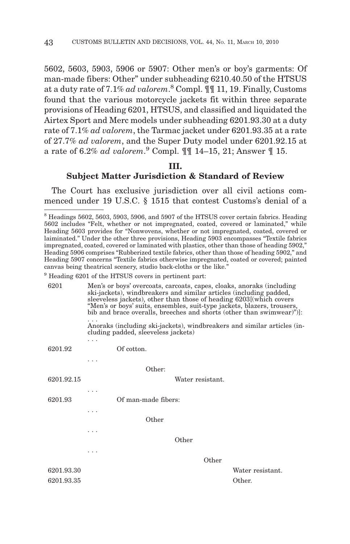5602, 5603, 5903, 5906 or 5907: Other men's or boy's garments: Of man-made fibers: Other" under subheading 6210.40.50 of the HTSUS at a duty rate of 7.1% *ad valorem*. <sup>8</sup> Compl. ¶¶ 11, 19. Finally, Customs found that the various motorcycle jackets fit within three separate provisions of Heading 6201, HTSUS, and classified and liquidated the Airtex Sport and Merc models under subheading 6201.93.30 at a duty rate of 7.1% *ad valorem*, the Tarmac jacket under 6201.93.35 at a rate of 27.7% *ad valorem*, and the Super Duty model under 6201.92.15 at a rate of 6.2% *ad valorem*. <sup>9</sup> Compl. ¶¶ 14–15, 21; Answer ¶ 15.

#### **III.**

# **Subject Matter Jurisdiction & Standard of Review**

The Court has exclusive jurisdiction over all civil actions commenced under 19 U.S.C. § 1515 that contest Customs's denial of a

| 6201       | Men's or boys' overcoats, carcoats, capes, cloaks, anoraks (including<br>ski-jackets), windbreakers and similar articles (including padded,<br>sleeveless jackets), other than those of heading 6203 (which covers<br>"Men's or boys' suits, ensembles, suit-type jackets, blazers, trousers,<br>bib and brace overalls, breeches and shorts (other than swimwear)"). |  |  |  |
|------------|-----------------------------------------------------------------------------------------------------------------------------------------------------------------------------------------------------------------------------------------------------------------------------------------------------------------------------------------------------------------------|--|--|--|
|            | Anoraks (including ski-jackets), windbreakers and similar articles (in-<br>cluding padded, sleeveless jackets)                                                                                                                                                                                                                                                        |  |  |  |
|            |                                                                                                                                                                                                                                                                                                                                                                       |  |  |  |
| 6201.92    | Of cotton.                                                                                                                                                                                                                                                                                                                                                            |  |  |  |
|            |                                                                                                                                                                                                                                                                                                                                                                       |  |  |  |
|            | Other:                                                                                                                                                                                                                                                                                                                                                                |  |  |  |
| 6201.92.15 | Water resistant.                                                                                                                                                                                                                                                                                                                                                      |  |  |  |
|            |                                                                                                                                                                                                                                                                                                                                                                       |  |  |  |
| 6201.93    | Of man-made fibers:                                                                                                                                                                                                                                                                                                                                                   |  |  |  |
|            |                                                                                                                                                                                                                                                                                                                                                                       |  |  |  |
|            | Other                                                                                                                                                                                                                                                                                                                                                                 |  |  |  |
|            |                                                                                                                                                                                                                                                                                                                                                                       |  |  |  |
|            | Other                                                                                                                                                                                                                                                                                                                                                                 |  |  |  |
|            |                                                                                                                                                                                                                                                                                                                                                                       |  |  |  |
|            | Other                                                                                                                                                                                                                                                                                                                                                                 |  |  |  |
| 6201.93.30 | Water resistant.                                                                                                                                                                                                                                                                                                                                                      |  |  |  |
| 6201.93.35 | Other.                                                                                                                                                                                                                                                                                                                                                                |  |  |  |
|            |                                                                                                                                                                                                                                                                                                                                                                       |  |  |  |

<sup>8</sup> Headings 5602, 5603, 5903, 5906, and 5907 of the HTSUS cover certain fabrics. Heading 5602 includes "Felt, whether or not impregnated, coated, covered or laminated," while Heading 5603 provides for "Nonwovens, whether or not impregnated, coated, covered or laiminated." Under the other three provisions, Heading 5903 encompasses "Textile fabrics impregnated, coated, covered or laminated with plastics, other than those of heading 5902," Heading 5906 comprises "Rubberized textile fabrics, other than those of heading 5902," and Heading 5907 concerns "Textile fabrics otherwise impregnated, coated or covered; painted canvas being theatrical scenery, studio back-cloths or the like."

<sup>&</sup>lt;sup>9</sup> Heading 6201 of the HTSUS covers in pertinent part: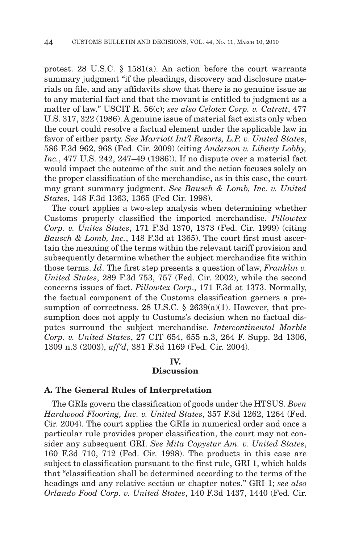protest. 28 U.S.C. § 1581(a). An action before the court warrants summary judgment "if the pleadings, discovery and disclosure materials on file, and any affidavits show that there is no genuine issue as to any material fact and that the movant is entitled to judgment as a matter of law." USCIT R. 56(c); *see also Celotex Corp. v. Catrett*, 477 U.S. 317, 322 (1986). A genuine issue of material fact exists only when the court could resolve a factual element under the applicable law in favor of either party. *See Marriott Int'l Resorts, L.P. v. United States*, 586 F.3d 962, 968 (Fed. Cir. 2009) (citing *Anderson v. Liberty Lobby, Inc.*, 477 U.S. 242, 247–49 (1986)). If no dispute over a material fact would impact the outcome of the suit and the action focuses solely on the proper classification of the merchandise, as in this case, the court may grant summary judgment. *See Bausch & Lomb, Inc. v. United States*, 148 F.3d 1363, 1365 (Fed Cir. 1998).

The court applies a two-step analysis when determining whether Customs properly classified the imported merchandise. *Pillowtex Corp. v. Unites States*, 171 F.3d 1370, 1373 (Fed. Cir. 1999) (citing *Bausch & Lomb, Inc.*, 148 F.3d at 1365). The court first must ascertain the meaning of the terms within the relevant tariff provision and subsequently determine whether the subject merchandise fits within those terms. *Id*. The first step presents a question of law, *Franklin v. United States*, 289 F.3d 753, 757 (Fed. Cir. 2002), while the second concerns issues of fact. *Pillowtex Corp*., 171 F.3d at 1373. Normally, the factual component of the Customs classification garners a presumption of correctness. 28 U.S.C. § 2639(a)(1). However, that presumption does not apply to Customs's decision when no factual disputes surround the subject merchandise. *Intercontinental Marble Corp. v. United States*, 27 CIT 654, 655 n.3, 264 F. Supp. 2d 1306, 1309 n.3 (2003), *aff'd*, 381 F.3d 1169 (Fed. Cir. 2004).

# **IV.**

# **Discussion**

#### **A. The General Rules of Interpretation**

The GRIs govern the classification of goods under the HTSUS. *Boen Hardwood Flooring, Inc. v. United States*, 357 F.3d 1262, 1264 (Fed. Cir. 2004). The court applies the GRIs in numerical order and once a particular rule provides proper classification, the court may not consider any subsequent GRI. *See Mita Copystar Am. v. United States*, 160 F.3d 710, 712 (Fed. Cir. 1998). The products in this case are subject to classification pursuant to the first rule, GRI 1, which holds that "classification shall be determined according to the terms of the headings and any relative section or chapter notes." GRI 1; *see also Orlando Food Corp. v. United States*, 140 F.3d 1437, 1440 (Fed. Cir.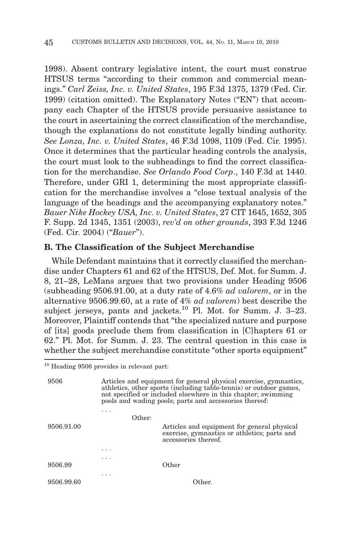1998). Absent contrary legislative intent, the court must construe HTSUS terms "according to their common and commercial meanings." *Carl Zeiss, Inc. v. United States*, 195 F.3d 1375, 1379 (Fed. Cir. 1999) (citation omitted). The Explanatory Notes ("EN") that accompany each Chapter of the HTSUS provide persuasive assistance to the court in ascertaining the correct classification of the merchandise, though the explanations do not constitute legally binding authority. *See Lonza, Inc. v. United States*, 46 F.3d 1098, 1109 (Fed. Cir. 1995). Once it determines that the particular heading controls the analysis, the court must look to the subheadings to find the correct classification for the merchandise. *See Orlando Food Corp*., 140 F.3d at 1440. Therefore, under GRI 1, determining the most appropriate classification for the merchandise involves a "close textual analysis of the language of the headings and the accompanying explanatory notes." *Bauer Nike Hockey USA, Inc. v. United States*, 27 CIT 1645, 1652, 305 F. Supp. 2d 1345, 1351 (2003), *rev'd on other grounds*, 393 F.3d 1246 (Fed. Cir. 2004) ("*Bauer*").

#### **B. The Classification of the Subject Merchandise**

While Defendant maintains that it correctly classified the merchandise under Chapters 61 and 62 of the HTSUS, Def. Mot. for Summ. J. 8, 21–28, LeMans argues that two provisions under Heading 9506 (subheading 9506.91.00, at a duty rate of 4.6% *ad valorem*, or in the alternative 9506.99.60, at a rate of 4% *ad valorem*) best describe the subject jerseys, pants and jackets. $^{10}$  Pl. Mot. for Summ. J. 3–23. Moreover, Plaintiff contends that "the specialized nature and purpose of [its] goods preclude them from classification in [C]hapters 61 or 62." Pl. Mot. for Summ. J. 23. The central question in this case is whether the subject merchandise constitute "other sports equipment"

9506 Articles and equipment for general physical exercise, gymnastics, athletics, other sports (including table-tennis) or outdoor games, not specified or included elsewhere in this chapter; swimming pools and wading pools; parts and accessories thereof:

| 9506.91.00 | .                       | Other: | Articles and equipment for general physical<br>exercise, gymnastics or athletics; parts and<br>accessories thereof. |
|------------|-------------------------|--------|---------------------------------------------------------------------------------------------------------------------|
|            | $\cdot$ $\cdot$ $\cdot$ |        |                                                                                                                     |
| 9506.99    | $\cdots$                |        | Other                                                                                                               |
| 9506.99.60 | .                       |        | Other.                                                                                                              |

<sup>10</sup> Heading 9506 provides in relevant part: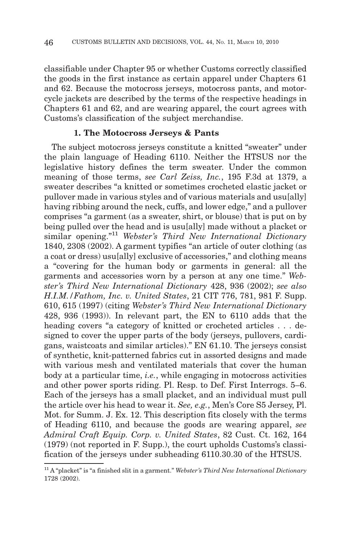classifiable under Chapter 95 or whether Customs correctly classified the goods in the first instance as certain apparel under Chapters 61 and 62. Because the motocross jerseys, motocross pants, and motorcycle jackets are described by the terms of the respective headings in Chapters 61 and 62, and are wearing apparel, the court agrees with Customs's classification of the subject merchandise.

#### **1. The Motocross Jerseys & Pants**

The subject motocross jerseys constitute a knitted "sweater" under the plain language of Heading 6110. Neither the HTSUS nor the legislative history defines the term sweater. Under the common meaning of those terms, *see Carl Zeiss, Inc.*, 195 F.3d at 1379, a sweater describes "a knitted or sometimes crocheted elastic jacket or pullover made in various styles and of various materials and usu[ally] having ribbing around the neck, cuffs, and lower edge," and a pullover comprises "a garment (as a sweater, shirt, or blouse) that is put on by being pulled over the head and is usu[ally] made without a placket or similar opening."11 *Webster's Third New International Dictionary* 1840, 2308 (2002). A garment typifies "an article of outer clothing (as a coat or dress) usu[ally] exclusive of accessories," and clothing means a "covering for the human body or garments in general: all the garments and accessories worn by a person at any one time." *Webster's Third New International Dictionary* 428, 936 (2002); *see also H.I.M./Fathom, Inc. v. United States*, 21 CIT 776, 781, 981 F. Supp. 610, 615 (1997) (citing *Webster's Third New International Dictionary* 428, 936 (1993)). In relevant part, the EN to 6110 adds that the heading covers "a category of knitted or crocheted articles . . . designed to cover the upper parts of the body (jerseys, pullovers, cardigans, waistcoats and similar articles)." EN 61.10. The jerseys consist of synthetic, knit-patterned fabrics cut in assorted designs and made with various mesh and ventilated materials that cover the human body at a particular time, *i.e.*, while engaging in motocross activities and other power sports riding. Pl. Resp. to Def. First Interrogs. 5–6. Each of the jerseys has a small placket, and an individual must pull the article over his head to wear it. *See, e.g.*, Men's Core S5 Jersey, Pl. Mot. for Summ. J. Ex. 12. This description fits closely with the terms of Heading 6110, and because the goods are wearing apparel, *see Admiral Craft Equip. Corp. v. United States*, 82 Cust. Ct. 162, 164 (1979) (not reported in F. Supp.), the court upholds Customs's classification of the jerseys under subheading 6110.30.30 of the HTSUS.

<sup>11</sup> A "placket" is "a finished slit in a garment." *Webster's Third New International Dictionary* 1728 (2002).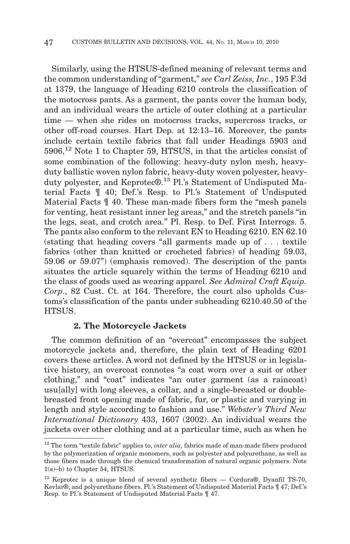Similarly, using the HTSUS-defined meaning of relevant terms and the common understanding of "garment," *see Carl Zeiss, Inc.*, 195 F.3d at 1379, the language of Heading 6210 controls the classification of the motocross pants. As a garment, the pants cover the human body, and an individual wears the article of outer clothing at a particular time — when she rides on motocross tracks, supercross tracks, or other off-road courses. Hart Dep. at 12:13–16. Moreover, the pants include certain textile fabrics that fall under Headings 5903 and 5906,<sup>12</sup> Note 1 to Chapter 59, HTSUS, in that the articles consist of some combination of the following: heavy-duty nylon mesh, heavyduty ballistic woven nylon fabric, heavy-duty woven polyester, heavyduty polyester, and Keprotec®.<sup>13</sup> Pl.'s Statement of Undisputed Material Facts ¶ 40; Def.'s Resp. to Pl.'s Statement of Undisputed Material Facts ¶ 40. These man-made fibers form the "mesh panels for venting, heat resistant inner leg areas," and the stretch panels "in the legs, seat, and crotch area." Pl. Resp. to Def. First Interrogs. 5. The pants also conform to the relevant EN to Heading 6210. EN 62.10 (stating that heading covers "all garments made up of... textile fabrics (other than knitted or crocheted fabrics) of heading 59.03, 59.06 or 59.07") (emphasis removed). The description of the pants situates the article squarely within the terms of Heading 6210 and the class of goods used as wearing apparel. *See Admiral Craft Equip. Corp*., 82 Cust. Ct. at 164. Therefore, the court also upholds Customs's classification of the pants under subheading 6210.40.50 of the HTSUS.

# **2. The Motorcycle Jackets**

The common definition of an "overcoat" encompasses the subject motorcycle jackets and, therefore, the plain text of Heading 6201 covers these articles. A word not defined by the HTSUS or in legislative history, an overcoat connotes "a coat worn over a suit or other clothing," and "coat" indicates "an outer garment (as a raincoat) usu[ally] with long sleeves, a collar, and a single-breasted or doublebreasted front opening made of fabric, fur, or plastic and varying in length and style according to fashion and use." *Webster's Third New International Dictionary* 433, 1607 (2002). An individual wears the jackets over other clothing and at a particular time, such as when he

<sup>&</sup>lt;sup>12</sup> The term "textile fabric" applies to, *inter alia*, fabrics made of man-made fibers produced by the polymerization of organic monomers, such as polyester and polyurethane, as well as those fibers made through the chemical transformation of natural organic polymers. Note 1(a)–b) to Chapter 54, HTSUS.

<sup>&</sup>lt;sup>13</sup> Keprotec is a unique blend of several synthetic fibers — Cordura®, Dyanfil TS-70, Kevlar®, and polyurethane fibers. Pl.'s Statement of Undisputed Material Facts ¶ 47; Def.'s Resp. to Pl.'s Statement of Undisputed Material Facts ¶ 47.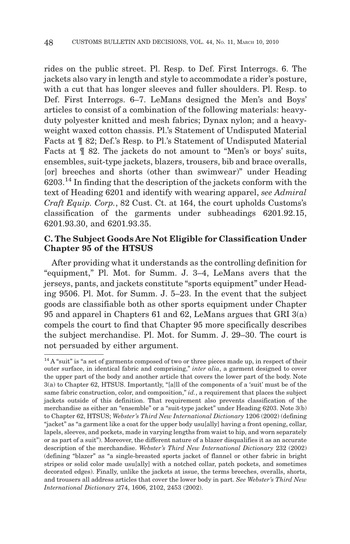rides on the public street. Pl. Resp. to Def. First Interrogs. 6. The jackets also vary in length and style to accommodate a rider's posture, with a cut that has longer sleeves and fuller shoulders. Pl. Resp. to Def. First Interrogs. 6–7. LeMans designed the Men's and Boys' articles to consist of a combination of the following materials: heavyduty polyester knitted and mesh fabrics; Dynax nylon; and a heavyweight waxed cotton chassis. Pl.'s Statement of Undisputed Material Facts at ¶ 82; Def.'s Resp. to Pl.'s Statement of Undisputed Material Facts at  $\parallel$  82. The jackets do not amount to "Men's or boys' suits, ensembles, suit-type jackets, blazers, trousers, bib and brace overalls, [orl breeches and shorts (other than swimwear)" under Heading  $6203<sup>14</sup>$  In finding that the description of the jackets conform with the text of Heading 6201 and identify with wearing apparel, *see Admiral Craft Equip. Corp.*, 82 Cust. Ct. at 164, the court upholds Customs's classification of the garments under subheadings 6201.92.15, 6201.93.30, and 6201.93.35.

# **C. The Subject Goods Are Not Eligible for Classification Under Chapter 95 of the HTSUS**

After providing what it understands as the controlling definition for "equipment," Pl. Mot. for Summ. J. 3–4, LeMans avers that the jerseys, pants, and jackets constitute "sports equipment" under Heading 9506. Pl. Mot. for Summ. J. 5–23. In the event that the subject goods are classifiable both as other sports equipment under Chapter 95 and apparel in Chapters 61 and 62, LeMans argues that GRI 3(a) compels the court to find that Chapter 95 more specifically describes the subject merchandise. Pl. Mot. for Summ. J. 29–30. The court is not persuaded by either argument.

<sup>&</sup>lt;sup>14</sup> A "suit" is "a set of garments composed of two or three pieces made up, in respect of their outer surface, in identical fabric and comprising," *inter alia*, a garment designed to cover the upper part of the body and another article that covers the lower part of the body. Note 3(a) to Chapter 62, HTSUS. Importantly, "[a]ll of the components of a 'suit' must be of the same fabric construction, color, and composition," *id.*, a requirement that places the subject jackets outside of this definition. That requirement also prevents classification of the merchandise as either an "ensemble" or a "suit-type jacket" under Heading 6203. Note 3(b) to Chapter 62, HTSUS; *Webster's Third New International Dictionary* 1206 (2002) (defining "jacket" as "a garment like a coat for the upper body usu[ally] having a front opening, collar, lapels, sleeves, and pockets, made in varying lengths from waist to hip, and worn separately or as part of a suit"). Moreover, the different nature of a blazer disqualifies it as an accurate description of the merchandise. *Webster's Third New International Dictionary* 232 (2002) (defining "blazer" as "a single-breasted sports jacket of flannel or other fabric in bright stripes or solid color made usu[ally] with a notched collar, patch pockets, and sometimes decorated edges). Finally, unlike the jackets at issue, the terms breeches, overalls, shorts, and trousers all address articles that cover the lower body in part. *See Webster's Third New International Dictionary* 274, 1606, 2102, 2453 (2002).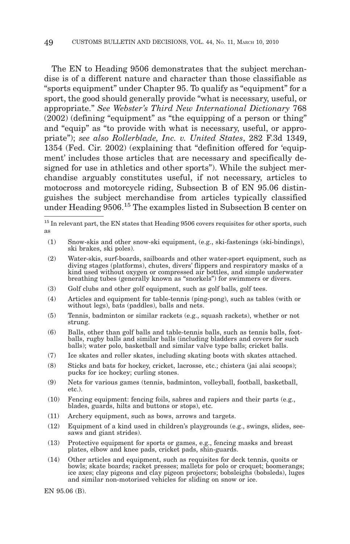The EN to Heading 9506 demonstrates that the subject merchandise is of a different nature and character than those classifiable as "sports equipment" under Chapter 95. To qualify as "equipment" for a sport, the good should generally provide "what is necessary, useful, or appropriate." *See Webster's Third New International Dictionary* 768 (2002) (defining "equipment" as "the equipping of a person or thing" and "equip" as "to provide with what is necessary, useful, or appropriate"); *see also Rollerblade, Inc. v. United States*, 282 F.3d 1349, 1354 (Fed. Cir. 2002) (explaining that "definition offered for 'equipment' includes those articles that are necessary and specifically designed for use in athletics and other sports"). While the subject merchandise arguably constitutes useful, if not necessary, articles to motocross and motorcycle riding, Subsection B of EN 95.06 distinguishes the subject merchandise from articles typically classified under Heading 9506.<sup>15</sup> The examples listed in Subsection B center on

- (1) Snow-skis and other snow-ski equipment, (e.g., ski-fastenings (ski-bindings), ski brakes, ski poles).
- (2) Water-skis, surf-boards, sailboards and other water-sport equipment, such as diving stages (platforms), chutes, divers' flippers and respiratory masks of a kind used without oxygen or compressed air bottles, and simple underwater breathing tubes (generally known as "snorkels") for swimmers or divers.
- (3) Golf clubs and other golf equipment, such as golf balls, golf tees.
- (4) Articles and equipment for table-tennis (ping-pong), such as tables (with or without legs), bats (paddles), balls and nets.
- (5) Tennis, badminton or similar rackets (e.g., squash rackets), whether or not strung.
- (6) Balls, other than golf balls and table-tennis balls, such as tennis balls, footballs, rugby balls and similar balls (including bladders and covers for such balls); water polo, basketball and similar valve type balls; cricket balls.
- (7) Ice skates and roller skates, including skating boots with skates attached.
- (8) Sticks and bats for hockey, cricket, lacrosse, etc.; chistera (jai alai scoops); pucks for ice hockey; curling stones.
- (9) Nets for various games (tennis, badminton, volleyball, football, basketball, etc.).
- (10) Fencing equipment: fencing foils, sabres and rapiers and their parts (e.g., blades, guards, hilts and buttons or stops), etc.
- (11) Archery equipment, such as bows, arrows and targets.
- (12) Equipment of a kind used in children's playgrounds (e.g., swings, slides, seesaws and giant strides).
- (13) Protective equipment for sports or games, e.g., fencing masks and breast plates, elbow and knee pads, cricket pads, shin-guards.
- (14) Other articles and equipment, such as requisites for deck tennis, quoits or bowls; skate boards; racket presses; mallets for polo or croquet; boomerangs; ice axes; clay pigeons and clay pigeon projectors; bobsleighs (bobsleds), luges and similar non-motorised vehicles for sliding on snow or ice.

EN 95.06 (B).

 $^{15}$  In relevant part, the EN states that Heading 9506 covers requisites for other sports, such as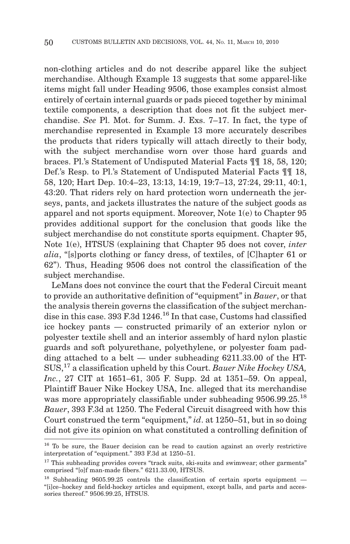non-clothing articles and do not describe apparel like the subject merchandise. Although Example 13 suggests that some apparel-like items might fall under Heading 9506, those examples consist almost entirely of certain internal guards or pads pieced together by minimal textile components, a description that does not fit the subject merchandise. *See* Pl. Mot. for Summ. J. Exs. 7–17. In fact, the type of merchandise represented in Example 13 more accurately describes the products that riders typically will attach directly to their body, with the subject merchandise worn over those hard guards and braces. Pl.'s Statement of Undisputed Material Facts ¶¶ 18, 58, 120; Def.'s Resp. to Pl.'s Statement of Undisputed Material Facts ¶¶ 18, 58, 120; Hart Dep. 10:4–23, 13:13, 14:19, 19:7–13, 27:24, 29:11, 40:1, 43:20. That riders rely on hard protection worn underneath the jerseys, pants, and jackets illustrates the nature of the subject goods as apparel and not sports equipment. Moreover, Note 1(e) to Chapter 95 provides additional support for the conclusion that goods like the subject merchandise do not constitute sports equipment. Chapter 95, Note 1(e), HTSUS (explaining that Chapter 95 does not cover, *inter alia*, "[s]ports clothing or fancy dress, of textiles, of [C]hapter 61 or 62"). Thus, Heading 9506 does not control the classification of the subject merchandise.

LeMans does not convince the court that the Federal Circuit meant to provide an authoritative definition of "equipment" in *Bauer*, or that the analysis therein governs the classification of the subject merchandise in this case. 393 F.3d  $1246<sup>16</sup>$  In that case, Customs had classified ice hockey pants — constructed primarily of an exterior nylon or polyester textile shell and an interior assembly of hard nylon plastic guards and soft polyurethane, polyethylene, or polyester foam padding attached to a belt — under subheading 6211.33.00 of the HT-SUS,<sup>17</sup> a classification upheld by this Court. *Bauer Nike Hockey USA, Inc.*, 27 CIT at 1651–61, 305 F. Supp. 2d at 1351–59. On appeal, Plaintiff Bauer Nike Hockey USA, Inc. alleged that its merchandise was more appropriately classifiable under subheading 9506.99.25.<sup>18</sup> *Bauer*, 393 F.3d at 1250. The Federal Circuit disagreed with how this Court construed the term "equipment," *id*. at 1250–51, but in so doing did not give its opinion on what constituted a controlling definition of

<sup>&</sup>lt;sup>16</sup> To be sure, the Bauer decision can be read to caution against an overly restrictive interpretation of "equipment." 393 F.3d at 1250–51.

<sup>&</sup>lt;sup>17</sup> This subheading provides covers "track suits, ski-suits and swimwear; other garments" comprised "[o]f man-made fibers." 6211.33.00, HTSUS.

 $18$  Subheading 9605.99.25 controls the classification of certain sports equipment  $-$ "[i]ce–hockey and field-hockey articles and equipment, except balls, and parts and accessories thereof." 9506.99.25, HTSUS.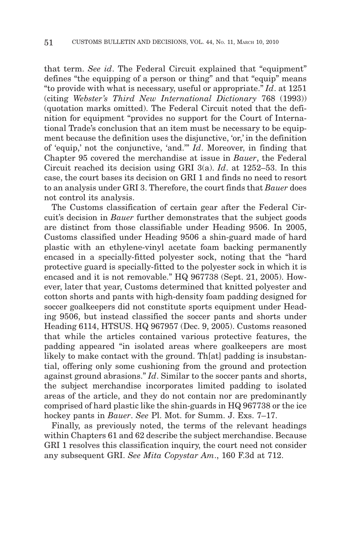that term. *See id*. The Federal Circuit explained that "equipment" defines "the equipping of a person or thing" and that "equip" means "to provide with what is necessary, useful or appropriate." *Id*. at 1251 (citing *Webster's Third New International Dictionary* 768 (1993)) (quotation marks omitted). The Federal Circuit noted that the definition for equipment "provides no support for the Court of International Trade's conclusion that an item must be necessary to be equipment because the definition uses the disjunctive, 'or,' in the definition of 'equip,' not the conjunctive, 'and.'" *Id*. Moreover, in finding that Chapter 95 covered the merchandise at issue in *Bauer*, the Federal Circuit reached its decision using GRI 3(a). *Id*. at 1252–53. In this case, the court bases its decision on GRI 1 and finds no need to resort to an analysis under GRI 3. Therefore, the court finds that *Bauer* does not control its analysis.

The Customs classification of certain gear after the Federal Circuit's decision in *Bauer* further demonstrates that the subject goods are distinct from those classifiable under Heading 9506. In 2005, Customs classified under Heading 9506 a shin-guard made of hard plastic with an ethylene-vinyl acetate foam backing permanently encased in a specially-fitted polyester sock, noting that the "hard protective guard is specially-fitted to the polyester sock in which it is encased and it is not removable." HQ 967738 (Sept. 21, 2005). However, later that year, Customs determined that knitted polyester and cotton shorts and pants with high-density foam padding designed for soccer goalkeepers did not constitute sports equipment under Heading 9506, but instead classified the soccer pants and shorts under Heading 6114, HTSUS. HQ 967957 (Dec. 9, 2005). Customs reasoned that while the articles contained various protective features, the padding appeared "in isolated areas where goalkeepers are most likely to make contact with the ground. The all padding is insubstantial, offering only some cushioning from the ground and protection against ground abrasions." *Id*. Similar to the soccer pants and shorts, the subject merchandise incorporates limited padding to isolated areas of the article, and they do not contain nor are predominantly comprised of hard plastic like the shin-guards in HQ 967738 or the ice hockey pants in *Bauer*. *See* Pl. Mot. for Summ. J. Exs. 7–17.

Finally, as previously noted, the terms of the relevant headings within Chapters 61 and 62 describe the subject merchandise. Because GRI 1 resolves this classification inquiry, the court need not consider any subsequent GRI. *See Mita Copystar Am*., 160 F.3d at 712.